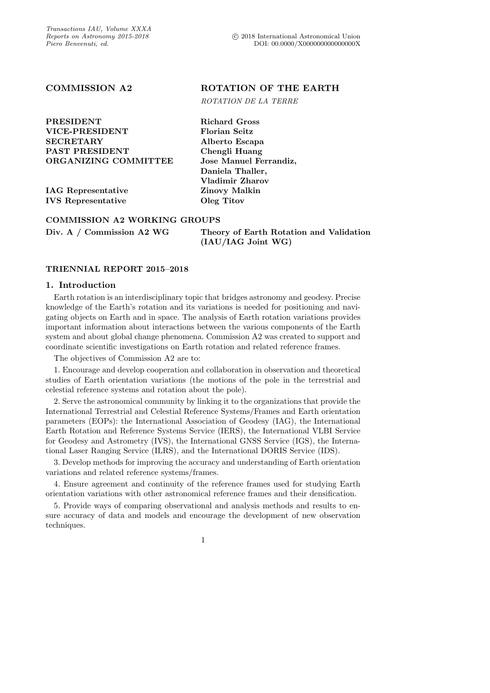PRESIDENT Richard Gross VICE-PRESIDENT Florian Seitz SECRETARY Alberto Escapa PAST PRESIDENT Chengli Huang

IAG Representative Zinovy Malkin IVS Representative Oleg Titov

COMMISSION A2 ROTATION OF THE EARTH

ROTATION DE LA TERRE

ORGANIZING COMMITTEE Jose Manuel Ferrandiz, Daniela Thaller, Vladimir Zharov

# COMMISSION A2 WORKING GROUPS

| Div. A / Commission A2 WG | Theory of Earth Rotation and Validation |
|---------------------------|-----------------------------------------|
|                           | $(IAU/IAG$ Joint WG)                    |

# TRIENNIAL REPORT 2015–2018

# 1. Introduction

Earth rotation is an interdisciplinary topic that bridges astronomy and geodesy. Precise knowledge of the Earth's rotation and its variations is needed for positioning and navigating objects on Earth and in space. The analysis of Earth rotation variations provides important information about interactions between the various components of the Earth system and about global change phenomena. Commission A2 was created to support and coordinate scientific investigations on Earth rotation and related reference frames.

The objectives of Commission A2 are to:

1. Encourage and develop cooperation and collaboration in observation and theoretical studies of Earth orientation variations (the motions of the pole in the terrestrial and celestial reference systems and rotation about the pole).

2. Serve the astronomical community by linking it to the organizations that provide the International Terrestrial and Celestial Reference Systems/Frames and Earth orientation parameters (EOPs): the International Association of Geodesy (IAG), the International Earth Rotation and Reference Systems Service (IERS), the International VLBI Service for Geodesy and Astrometry (IVS), the International GNSS Service (IGS), the International Laser Ranging Service (ILRS), and the International DORIS Service (IDS).

3. Develop methods for improving the accuracy and understanding of Earth orientation variations and related reference systems/frames.

4. Ensure agreement and continuity of the reference frames used for studying Earth orientation variations with other astronomical reference frames and their densification.

5. Provide ways of comparing observational and analysis methods and results to ensure accuracy of data and models and encourage the development of new observation techniques.

1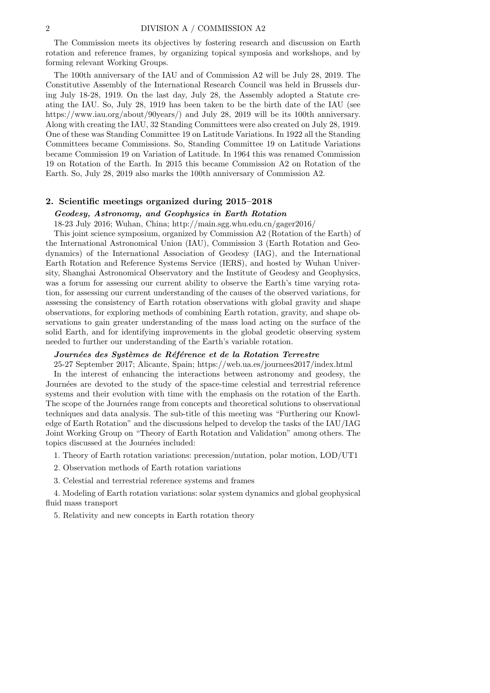The Commission meets its objectives by fostering research and discussion on Earth rotation and reference frames, by organizing topical symposia and workshops, and by forming relevant Working Groups.

The 100th anniversary of the IAU and of Commission A2 will be July 28, 2019. The Constitutive Assembly of the International Research Council was held in Brussels during July 18-28, 1919. On the last day, July 28, the Assembly adopted a Statute creating the IAU. So, July 28, 1919 has been taken to be the birth date of the IAU (see https://www.iau.org/about/90years/) and July 28, 2019 will be its 100th anniversary. Along with creating the IAU, 32 Standing Committees were also created on July 28, 1919. One of these was Standing Committee 19 on Latitude Variations. In 1922 all the Standing Committees became Commissions. So, Standing Committee 19 on Latitude Variations became Commission 19 on Variation of Latitude. In 1964 this was renamed Commission 19 on Rotation of the Earth. In 2015 this became Commission A2 on Rotation of the Earth. So, July 28, 2019 also marks the 100th anniversary of Commission A2.

# 2. Scientific meetings organized during 2015–2018

# Geodesy, Astronomy, and Geophysics in Earth Rotation 18-23 July 2016; Wuhan, China; http://main.sgg.whu.edu.cn/gager2016/

This joint science symposium, organized by Commission A2 (Rotation of the Earth) of the International Astronomical Union (IAU), Commission 3 (Earth Rotation and Geodynamics) of the International Association of Geodesy (IAG), and the International Earth Rotation and Reference Systems Service (IERS), and hosted by Wuhan University, Shanghai Astronomical Observatory and the Institute of Geodesy and Geophysics, was a forum for assessing our current ability to observe the Earth's time varying rotation, for assessing our current understanding of the causes of the observed variations, for assessing the consistency of Earth rotation observations with global gravity and shape observations, for exploring methods of combining Earth rotation, gravity, and shape observations to gain greater understanding of the mass load acting on the surface of the solid Earth, and for identifying improvements in the global geodetic observing system needed to further our understanding of the Earth's variable rotation.

# Journées des Systèmes de Référence et de la Rotation Terrestre

25-27 September 2017; Alicante, Spain; https://web.ua.es/journees2017/index.html In the interest of enhancing the interactions between astronomy and geodesy, the Journées are devoted to the study of the space-time celestial and terrestrial reference systems and their evolution with time with the emphasis on the rotation of the Earth. The scope of the Journées range from concepts and theoretical solutions to observational techniques and data analysis. The sub-title of this meeting was "Furthering our Knowledge of Earth Rotation" and the discussions helped to develop the tasks of the IAU/IAG Joint Working Group on "Theory of Earth Rotation and Validation" among others. The topics discussed at the Journées included:

1. Theory of Earth rotation variations: precession/nutation, polar motion, LOD/UT1

- 2. Observation methods of Earth rotation variations
- 3. Celestial and terrestrial reference systems and frames

4. Modeling of Earth rotation variations: solar system dynamics and global geophysical fluid mass transport

5. Relativity and new concepts in Earth rotation theory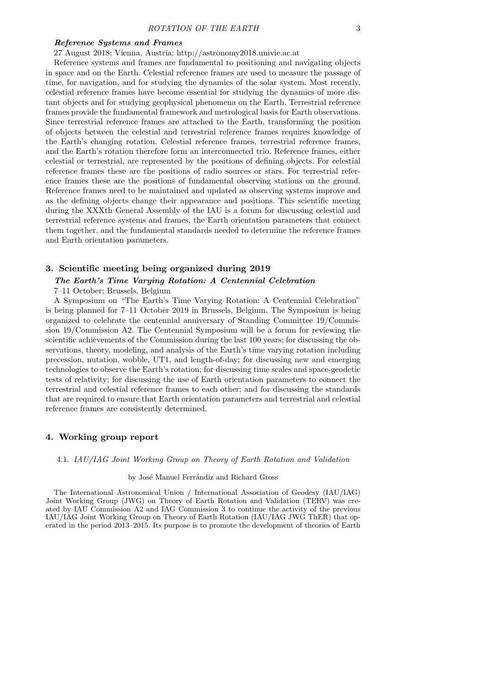# Reference Systems and Frames

27 August 2018; Vienna, Austria; http://astronomy2018.univie.ac.at

Reference systems and frames are fundamental to positioning and navigating objects in space and on the Earth. Celestial reference frames are used to measure the passage of time, for navigation, and for studying the dynamics of the solar system. Most recently, celestial reference frames have become essential for studying the dynamics of more distant objects and for studying geophysical phenomena on the Earth. Terrestrial reference frames provide the fundamental framework and metrological basis for Earth observations. Since terrestrial reference frames are attached to the Earth, transforming the position of objects between the celestial and terrestrial reference frames requires knowledge of the Earth's changing rotation. Celestial reference frames, terrestrial reference frames, and the Earth's rotation therefore form an interconnected trio. Reference frames, either celestial or terrestrial, are represented by the positions of defining objects. For celestial reference frames these are the positions of radio sources or stars. For terrestrial reference frames these are the positions of fundamental observing stations on the ground. Reference frames need to be maintained and updated as observing systems improve and as the defining objects change their appearance and positions. This scientific meeting during the XXXth General Assembly of the IAU is a forum for discussing celestial and terrestrial reference systems and frames, the Earth orientation parameters that connect them together, and the fundamental standards needed to determine the reference frames and Earth orientation parameters.

# 3. Scientific meeting being organized during 2019

# The Earth's Time Varying Rotation: A Centennial Celebration

7–11 October; Brussels, Belgium

A Symposium on "The Earth's Time Varying Rotation: A Centennial Celebration" is being planned for 7–11 October 2019 in Brussels, Belgium. The Symposium is being organized to celebrate the centennial anniversary of Standing Committee 19/Commission 19/Commission A2. The Centennial Symposium will be a forum for reviewing the scientific achievements of the Commission during the last 100 years; for discussing the observations, theory, modeling, and analysis of the Earth's time varying rotation including precession, nutation, wobble, UT1, and length-of-day; for discussing new and emerging technologies to observe the Earth's rotation; for discussing time scales and space-geodetic tests of relativity; for discussing the use of Earth orientation parameters to connect the terrestrial and celestial reference frames to each other; and for discussing the standards that are required to ensure that Earth orientation parameters and terrestrial and celestial reference frames are consistently determined.

# 4. Working group report

4.1. IAU/IAG Joint Working Group on Theory of Earth Rotation and Validation

### by José Manuel Ferrándiz and Richard Gross

The International Astronomical Union / International Association of Geodesy (IAU/IAG) Joint Working Group (JWG) on Theory of Earth Rotation and Validation (TERV) was created by IAU Commission A2 and IAG Commission 3 to continue the activity of the previous IAU/IAG Joint Working Group on Theory of Earth Rotation (IAU/IAG JWG ThER) that operated in the period 2013–2015. Its purpose is to promote the development of theories of Earth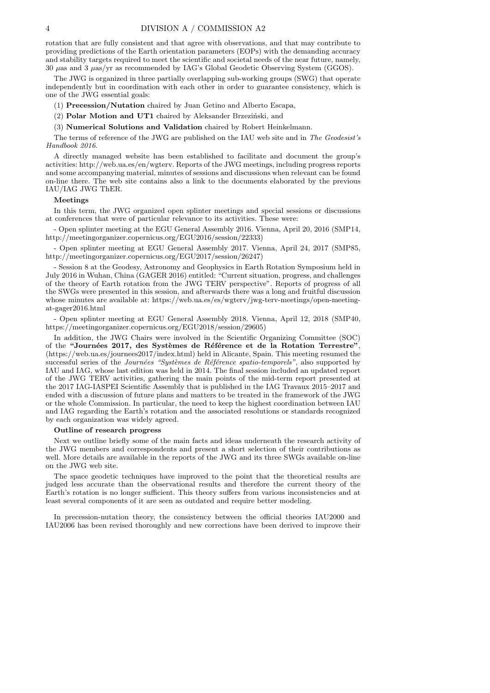rotation that are fully consistent and that agree with observations, and that may contribute to providing predictions of the Earth orientation parameters (EOPs) with the demanding accuracy and stability targets required to meet the scientific and societal needs of the near future, namely, 30 µas and 3 µas/yr as recommended by IAG's Global Geodetic Observing System (GGOS).

The JWG is organized in three partially overlapping sub-working groups (SWG) that operate independently but in coordination with each other in order to guarantee consistency, which is one of the JWG essential goals:

(1) Precession/Nutation chaired by Juan Getino and Alberto Escapa,

 $(2)$  Polar Motion and UT1 chaired by Aleksander Brzeziński, and

(3) Numerical Solutions and Validation chaired by Robert Heinkelmann.

The terms of reference of the JWG are published on the IAU web site and in The Geodesist's Handbook 2016.

A directly managed website has been established to facilitate and document the group's activities: http://web.ua.es/en/wgterv. Reports of the JWG meetings, including progress reports and some accompanying material, minutes of sessions and discussions when relevant can be found on-line there. The web site contains also a link to the documents elaborated by the previous IAU/IAG JWG ThER.

#### Meetings

In this term, the JWG organized open splinter meetings and special sessions or discussions at conferences that were of particular relevance to its activities. These were:

- Open splinter meeting at the EGU General Assembly 2016. Vienna, April 20, 2016 (SMP14, http://meetingorganizer.copernicus.org/EGU2016/session/22333)

- Open splinter meeting at EGU General Assembly 2017. Vienna, April 24, 2017 (SMP85, http://meetingorganizer.copernicus.org/EGU2017/session/26247)

- Session 8 at the Geodesy, Astronomy and Geophysics in Earth Rotation Symposium held in July 2016 in Wuhan, China (GAGER 2016) entitled: "Current situation, progress, and challenges of the theory of Earth rotation from the JWG TERV perspective". Reports of progress of all the SWGs were presented in this session, and afterwards there was a long and fruitful discussion whose minutes are available at: https://web.ua.es/es/wgterv/jwg-terv-meetings/open-meetingat-gager2016.html

- Open splinter meeting at EGU General Assembly 2018. Vienna, April 12, 2018 (SMP40, https://meetingorganizer.copernicus.org/EGU2018/session/29605)

In addition, the JWG Chairs were involved in the Scientific Organizing Committee (SOC) of the "Journées 2017, des Systèmes de Référence et de la Rotation Terrestre" (https://web.ua.es/journees2017/index.html) held in Alicante, Spain. This meeting resumed the successful series of the Journées "Systèmes de Référence spatio-temporels", also supported by IAU and IAG, whose last edition was held in 2014. The final session included an updated report of the JWG TERV activities, gathering the main points of the mid-term report presented at the 2017 IAG-IASPEI Scientific Assembly that is published in the IAG Travaux 2015–2017 and ended with a discussion of future plans and matters to be treated in the framework of the JWG or the whole Commission. In particular, the need to keep the highest coordination between IAU and IAG regarding the Earth's rotation and the associated resolutions or standards recognized by each organization was widely agreed.

# Outline of research progress

Next we outline briefly some of the main facts and ideas underneath the research activity of the JWG members and correspondents and present a short selection of their contributions as well. More details are available in the reports of the JWG and its three SWGs available on-line on the JWG web site.

The space geodetic techniques have improved to the point that the theoretical results are judged less accurate than the observational results and therefore the current theory of the Earth's rotation is no longer sufficient. This theory suffers from various inconsistencies and at least several components of it are seen as outdated and require better modeling.

In precession-nutation theory, the consistency between the official theories IAU2000 and IAU2006 has been revised thoroughly and new corrections have been derived to improve their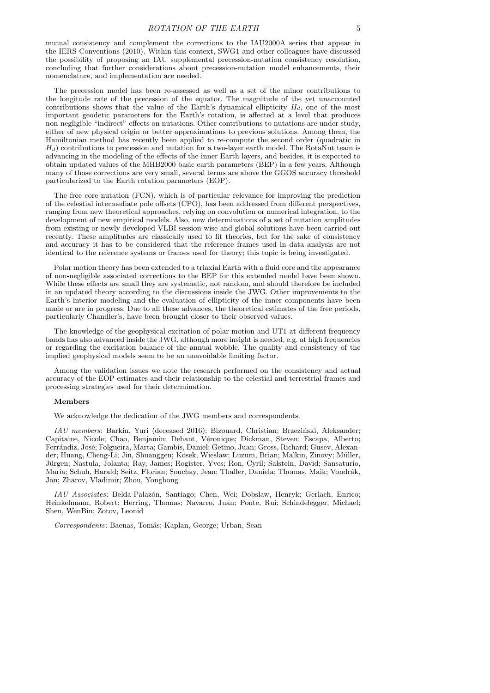mutual consistency and complement the corrections to the IAU2000A series that appear in the IERS Conventions (2010). Within this context, SWG1 and other colleagues have discussed the possibility of proposing an IAU supplemental precession-nutation consistency resolution, concluding that further considerations about precession-nutation model enhancements, their nomenclature, and implementation are needed.

The precession model has been re-assessed as well as a set of the minor contributions to the longitude rate of the precession of the equator. The magnitude of the yet unaccounted contributions shows that the value of the Earth's dynamical ellipticity  $H_d$ , one of the most important geodetic parameters for the Earth's rotation, is affected at a level that produces non-negligible "indirect" effects on nutations. Other contributions to nutations are under study, either of new physical origin or better approximations to previous solutions. Among them, the Hamiltonian method has recently been applied to re-compute the second order (quadratic in  $H_d$ ) contributions to precession and nutation for a two-layer earth model. The RotaNut team is advancing in the modeling of the effects of the inner Earth layers, and besides, it is expected to obtain updated values of the MHB2000 basic earth parameters (BEP) in a few years. Although many of those corrections are very small, several terms are above the GGOS accuracy threshold particularized to the Earth rotation parameters (EOP).

The free core nutation (FCN), which is of particular relevance for improving the prediction of the celestial intermediate pole offsets (CPO), has been addressed from different perspectives, ranging from new theoretical approaches, relying on convolution or numerical integration, to the development of new empirical models. Also, new determinations of a set of nutation amplitudes from existing or newly developed VLBI session-wise and global solutions have been carried out recently. These amplitudes are classically used to fit theories, but for the sake of consistency and accuracy it has to be considered that the reference frames used in data analysis are not identical to the reference systems or frames used for theory; this topic is being investigated.

Polar motion theory has been extended to a triaxial Earth with a fluid core and the appearance of non-negligible associated corrections to the BEP for this extended model have been shown. While these effects are small they are systematic, not random, and should therefore be included in an updated theory according to the discussions inside the JWG. Other improvements to the Earth's interior modeling and the evaluation of ellipticity of the inner components have been made or are in progress. Due to all these advances, the theoretical estimates of the free periods, particularly Chandler's, have been brought closer to their observed values.

The knowledge of the geophysical excitation of polar motion and UT1 at different frequency bands has also advanced inside the JWG, although more insight is needed, e.g. at high frequencies or regarding the excitation balance of the annual wobble. The quality and consistency of the implied geophysical models seem to be an unavoidable limiting factor.

Among the validation issues we note the research performed on the consistency and actual accuracy of the EOP estimates and their relationship to the celestial and terrestrial frames and processing strategies used for their determination.

### Members

We acknowledge the dedication of the JWG members and correspondents.

 $IAU$  members: Barkin, Yuri (deceased 2016); Bizouard, Christian; Brzeziński, Aleksander; Capitaine, Nicole; Chao, Benjamin; Dehant, Véronique; Dickman, Steven; Escapa, Alberto; Ferrándiz, José; Folgueira, Marta; Gambis, Daniel; Getino, Juan; Gross, Richard; Gusev, Alexander; Huang, Cheng-Li; Jin, Shuanggen; Kosek, Wiesław; Luzum, Brian; Malkin, Zinovy; Müller, Jürgen; Nastula, Jolanta; Ray, James; Rogister, Yves; Ron, Cyril; Salstein, David; Sansaturio, Maria; Schuh, Harald; Seitz, Florian; Souchay, Jean; Thaller, Daniela; Thomas, Maik; Vondrák, Jan; Zharov, Vladimir; Zhou, Yonghong

IAU Associates: Belda-Palaz´on, Santiago; Chen, Wei; Dobslaw, Henryk; Gerlach, Enrico; Heinkelmann, Robert; Herring, Thomas; Navarro, Juan; Ponte, Rui; Schindelegger, Michael; Shen, WenBin; Zotov, Leonid

Correspondents: Baenas, Tomás; Kaplan, George; Urban, Sean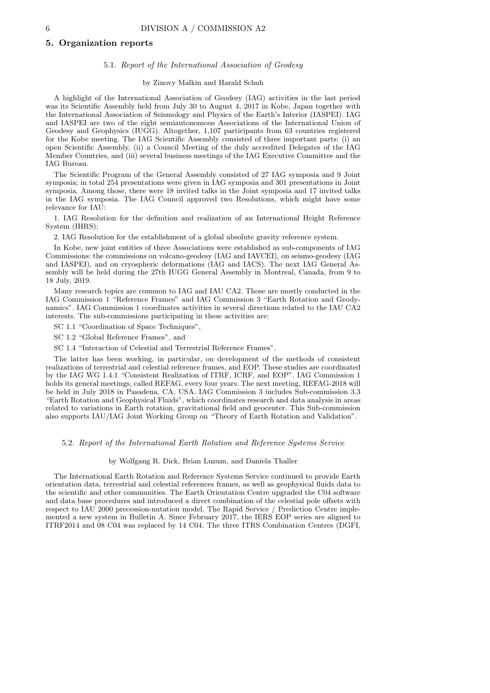## 5. Organization reports

### 5.1. Report of the International Association of Geodesy

## by Zinovy Malkin and Harald Schuh

A highlight of the International Association of Geodesy (IAG) activities in the last period was its Scientific Assembly held from July 30 to August 4, 2017 in Kobe, Japan together with the International Association of Seismology and Physics of the Earth's Interior (IASPEI). IAG and IASPEI are two of the eight semiautonomous Associations of the International Union of Geodesy and Geophysics (IUGG). Altogether, 1,107 participants from 63 countries registered for the Kobe meeting. The IAG Scientific Assembly consisted of three important parts: (i) an open Scientific Assembly, (ii) a Council Meeting of the duly accredited Delegates of the IAG Member Countries, and (iii) several business meetings of the IAG Executive Committee and the IAG Bureau.

The Scientific Program of the General Assembly consisted of 27 IAG symposia and 9 Joint symposia; in total 254 presentations were given in IAG symposia and 301 presentations in Joint symposia. Among those, there were 18 invited talks in the Joint symposia and 17 invited talks in the IAG symposia. The IAG Council approved two Resolutions, which might have some relevance for IAU:

1. IAG Resolution for the definition and realization of an International Height Reference System (IHRS);

2. IAG Resolution for the establishment of a global absolute gravity reference system.

In Kobe, new joint entities of three Associations were established as sub-components of IAG Commissions: the commissions on volcano-geodesy (IAG and IAVCEI), on seismo-geodesy (IAG and IASPEI), and on cryospheric deformations (IAG and IACS). The next IAG General Assembly will be held during the 27th IUGG General Assembly in Montreal, Canada, from 9 to 18 July, 2019.

Many research topics are common to IAG and IAU CA2. Those are mostly conducted in the IAG Commission 1 "Reference Frames" and IAG Commission 3 "Earth Rotation and Geodynamics". IAG Commission 1 coordinates activities in several directions related to the IAU CA2 interests. The sub-commissions participating in these activities are:

SC 1.1 "Coordination of Space Techniques",

SC 1.2 "Global Reference Frames", and

SC 1.4 "Interaction of Celestial and Terrestrial Reference Frames".

The latter has been working, in particular, on development of the methods of consistent realizations of terrestrial and celestial reference frames, and EOP. These studies are coordinated by the IAG WG 1.4.1 "Consistent Realization of ITRF, ICRF, and EOP". IAG Commission 1 holds its general meetings, called REFAG, every four years. The next meeting, REFAG-2018 will be held in July 2018 in Pasadena, CA, USA. IAG Commission 3 includes Sub-commission 3.3 "Earth Rotation and Geophysical Fluids", which coordinates research and data analysis in areas related to variations in Earth rotation, gravitational field and geocenter. This Sub-commission also supports IAU/IAG Joint Working Group on "Theory of Earth Rotation and Validation".

## 5.2. Report of the International Earth Rotation and Reference Systems Service

#### by Wolfgang R. Dick, Brian Luzum, and Daniela Thaller

The International Earth Rotation and Reference Systems Service continued to provide Earth orientation data, terrestrial and celestial references frames, as well as geophysical fluids data to the scientific and other communities. The Earth Orientation Centre upgraded the C04 software and data base procedures and introduced a direct combination of the celestial pole offsets with respect to IAU 2000 precession-nutation model. The Rapid Service / Prediction Centre implemented a new system in Bulletin A. Since February 2017, the IERS EOP series are aligned to ITRF2014 and 08 C04 was replaced by 14 C04. The three ITRS Combination Centres (DGFI,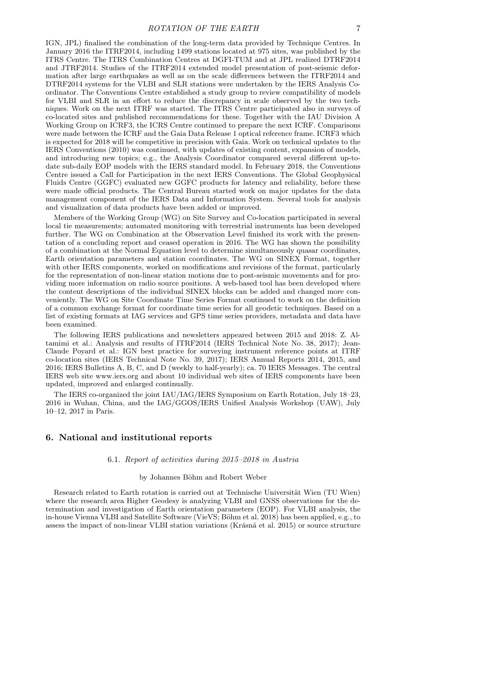IGN, JPL) finalised the combination of the long-term data provided by Technique Centres. In January 2016 the ITRF2014, including 1499 stations located at 975 sites, was published by the ITRS Centre. The ITRS Combination Centres at DGFI-TUM and at JPL realized DTRF2014 and JTRF2014. Studies of the ITRF2014 extended model presentation of post-seismic deformation after large earthquakes as well as on the scale differences between the ITRF2014 and DTRF2014 systems for the VLBI and SLR stations were undertaken by the IERS Analysis Coordinator. The Conventions Centre established a study group to review compatibility of models for VLBI and SLR in an effort to reduce the discrepancy in scale observed by the two techniques. Work on the next ITRF was started. The ITRS Centre participated also in surveys of co-located sites and published recommendations for these. Together with the IAU Division A Working Group on ICRF3, the ICRS Centre continued to prepare the next ICRF. Comparisons were made between the ICRF and the Gaia Data Release 1 optical reference frame. ICRF3 which is expected for 2018 will be competitive in precision with Gaia. Work on technical updates to the IERS Conventions (2010) was continued, with updates of existing content, expansion of models, and introducing new topics; e.g., the Analysis Coordinator compared several different up-todate sub-daily EOP models with the IERS standard model. In February 2018, the Conventions Centre issued a Call for Participation in the next IERS Conventions. The Global Geophysical Fluids Centre (GGFC) evaluated new GGFC products for latency and reliability, before these were made official products. The Central Bureau started work on major updates for the data management component of the IERS Data and Information System. Several tools for analysis and visualization of data products have been added or improved.

Members of the Working Group (WG) on Site Survey and Co-location participated in several local tie measurements; automated monitoring with terrestrial instruments has been developed further. The WG on Combination at the Observation Level finished its work with the presentation of a concluding report and ceased operation in 2016. The WG has shown the possibility of a combination at the Normal Equation level to determine simultaneously quasar coordinates, Earth orientation parameters and station coordinates. The WG on SINEX Format, together with other IERS components, worked on modifications and revisions of the format, particularly for the representation of non-linear station motions due to post-seismic movements and for providing more information on radio source positions. A web-based tool has been developed where the content descriptions of the individual SINEX blocks can be added and changed more conveniently. The WG on Site Coordinate Time Series Format continued to work on the definition of a common exchange format for coordinate time series for all geodetic techniques. Based on a list of existing formats at IAG services and GPS time series providers, metadata and data have been examined.

The following IERS publications and newsletters appeared between 2015 and 2018: Z. Altamimi et al.: Analysis and results of ITRF2014 (IERS Technical Note No. 38, 2017); Jean-Claude Poyard et al.: IGN best practice for surveying instrument reference points at ITRF co-location sites (IERS Technical Note No. 39, 2017); IERS Annual Reports 2014, 2015, and 2016; IERS Bulletins A, B, C, and D (weekly to half-yearly); ca. 70 IERS Messages. The central IERS web site www.iers.org and about 10 individual web sites of IERS components have been updated, improved and enlarged continually.

The IERS co-organized the joint IAU/IAG/IERS Symposium on Earth Rotation, July 18–23, 2016 in Wuhan, China, and the IAG/GGOS/IERS Unified Analysis Workshop (UAW), July 10–12, 2017 in Paris.

# 6. National and institutional reports

### 6.1. Report of activities during 2015–2018 in Austria

#### by Johannes Böhm and Robert Weber

Research related to Earth rotation is carried out at Technische Universität Wien (TU Wien) where the research area Higher Geodesy is analyzing VLBI and GNSS observations for the determination and investigation of Earth orientation parameters (EOP). For VLBI analysis, the in-house Vienna VLBI and Satellite Software (VieVS; Böhm et al. 2018) has been applied, e.g., to assess the impact of non-linear VLBI station variations (Krásná et al. 2015) or source structure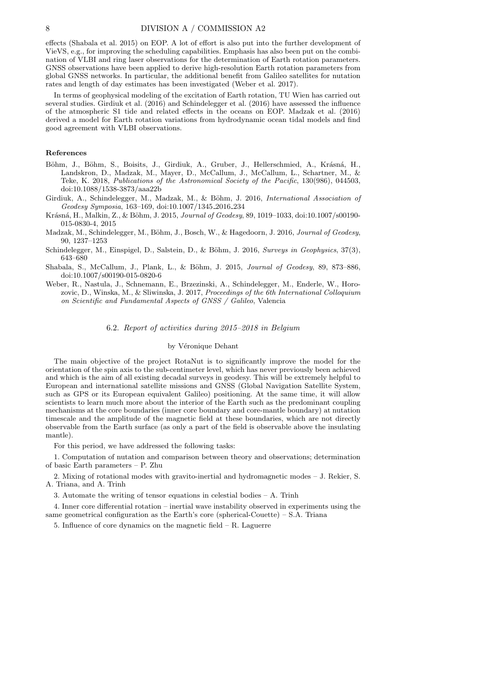effects (Shabala et al. 2015) on EOP. A lot of effort is also put into the further development of VieVS, e.g., for improving the scheduling capabilities. Emphasis has also been put on the combination of VLBI and ring laser observations for the determination of Earth rotation parameters. GNSS observations have been applied to derive high-resolution Earth rotation parameters from global GNSS networks. In particular, the additional benefit from Galileo satellites for nutation rates and length of day estimates has been investigated (Weber et al. 2017).

In terms of geophysical modeling of the excitation of Earth rotation, TU Wien has carried out several studies. Girdiuk et al. (2016) and Schindelegger et al. (2016) have assessed the influence of the atmospheric S1 tide and related effects in the oceans on EOP. Madzak et al. (2016) derived a model for Earth rotation variations from hydrodynamic ocean tidal models and find good agreement with VLBI observations.

### References

- Böhm, J., Böhm, S., Boisits, J., Girdiuk, A., Gruber, J., Hellerschmied, A., Krásná, H., Landskron, D., Madzak, M., Mayer, D., McCallum, J., McCallum, L., Schartner, M., & Teke, K. 2018, Publications of the Astronomical Society of the Pacific, 130(986), 044503, doi:10.1088/1538-3873/aaa22b
- Girdiuk, A., Schindelegger, M., Madzak, M., & Böhm, J. 2016, International Association of Geodesy Symposia, 163–169, doi:10.1007/1345 2016 234
- Krásná, H., Malkin, Z., & Böhm, J. 2015, Journal of Geodesy, 89, 1019-1033, doi:10.1007/s00190-015-0830-4, 2015
- Madzak, M., Schindelegger, M., Böhm, J., Bosch, W., & Hagedoorn, J. 2016, Journal of Geodesy, 90, 1237–1253
- Schindelegger, M., Einspigel, D., Salstein, D., & Böhm, J. 2016, Surveys in Geophysics,  $37(3)$ , 643–680
- Shabala, S., McCallum, J., Plank, L., & Böhm, J. 2015, Journal of Geodesy, 89, 873–886, doi:10.1007/s00190-015-0820-6
- Weber, R., Nastula, J., Schnemann, E., Brzezinski, A., Schindelegger, M., Enderle, W., Horozovic, D., Winska, M., & Sliwinska, J. 2017, Proceedings of the 6th International Colloquium on Scientific and Fundamental Aspects of GNSS / Galileo, Valencia

# 6.2. Report of activities during 2015–2018 in Belgium

# by Véronique Dehant

The main objective of the project RotaNut is to significantly improve the model for the orientation of the spin axis to the sub-centimeter level, which has never previously been achieved and which is the aim of all existing decadal surveys in geodesy. This will be extremely helpful to European and international satellite missions and GNSS (Global Navigation Satellite System, such as GPS or its European equivalent Galileo) positioning. At the same time, it will allow scientists to learn much more about the interior of the Earth such as the predominant coupling mechanisms at the core boundaries (inner core boundary and core-mantle boundary) at nutation timescale and the amplitude of the magnetic field at these boundaries, which are not directly observable from the Earth surface (as only a part of the field is observable above the insulating mantle).

For this period, we have addressed the following tasks:

1. Computation of nutation and comparison between theory and observations; determination of basic Earth parameters – P. Zhu

2. Mixing of rotational modes with gravito-inertial and hydromagnetic modes – J. Rekier, S. A. Triana, and A. Trinh

3. Automate the writing of tensor equations in celestial bodies – A. Trinh

4. Inner core differential rotation – inertial wave instability observed in experiments using the same geometrical configuration as the Earth's core (spherical-Couette)  $-$  S.A. Triana

5. Influence of core dynamics on the magnetic field – R. Laguerre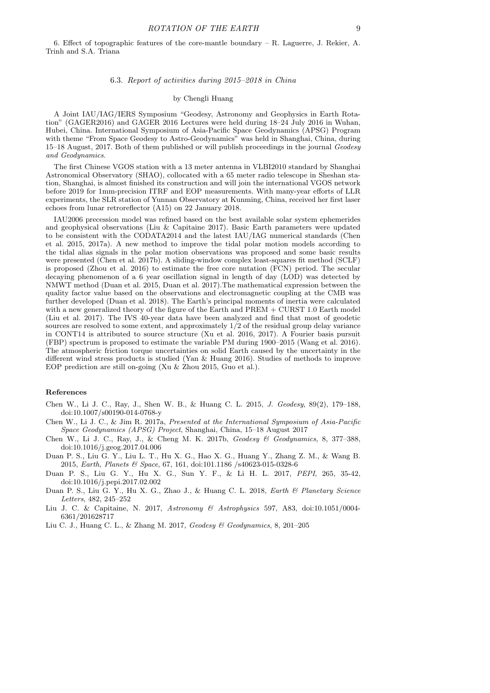6. Effect of topographic features of the core-mantle boundary – R. Laguerre, J. Rekier, A. Trinh and S.A. Triana

### 6.3. Report of activities during 2015–2018 in China

### by Chengli Huang

A Joint IAU/IAG/IERS Symposium "Geodesy, Astronomy and Geophysics in Earth Rotation" (GAGER2016) and GAGER 2016 Lectures were held during 18–24 July 2016 in Wuhan, Hubei, China. International Symposium of Asia-Pacific Space Geodynamics (APSG) Program with theme "From Space Geodesy to Astro-Geodynamics" was held in Shanghai, China, during 15–18 August, 2017. Both of them published or will publish proceedings in the journal Geodesy and Geodynamics.

The first Chinese VGOS station with a 13 meter antenna in VLBI2010 standard by Shanghai Astronomical Observatory (SHAO), collocated with a 65 meter radio telescope in Sheshan station, Shanghai, is almost finished its construction and will join the international VGOS network before 2019 for 1mm-precision ITRF and EOP measurements. With many-year efforts of LLR experiments, the SLR station of Yunnan Observatory at Kunming, China, received her first laser echoes from lunar retroreflector (A15) on 22 January 2018.

IAU2006 precession model was refined based on the best available solar system ephemerides and geophysical observations (Liu & Capitaine 2017). Basic Earth parameters were updated to be consistent with the CODATA2014 and the latest IAU/IAG numerical standards (Chen et al. 2015, 2017a). A new method to improve the tidal polar motion models according to the tidal alias signals in the polar motion observations was proposed and some basic results were presented (Chen et al. 2017b). A sliding-window complex least-squares fit method (SCLF) is proposed (Zhou et al. 2016) to estimate the free core nutation (FCN) period. The secular decaying phenomenon of a 6 year oscillation signal in length of day (LOD) was detected by NMWT method (Duan et al. 2015, Duan et al. 2017).The mathematical expression between the quality factor value based on the observations and electromagnetic coupling at the CMB was further developed (Duan et al. 2018). The Earth's principal moments of inertia were calculated with a new generalized theory of the figure of the Earth and PREM + CURST 1.0 Earth model (Liu et al. 2017). The IVS 40-year data have been analyzed and find that most of geodetic sources are resolved to some extent, and approximately 1/2 of the residual group delay variance in CONT14 is attributed to source structure (Xu et al. 2016, 2017). A Fourier basis pursuit (FBP) spectrum is proposed to estimate the variable PM during 1900–2015 (Wang et al. 2016). The atmospheric friction torque uncertainties on solid Earth caused by the uncertainty in the different wind stress products is studied (Yan & Huang 2016). Studies of methods to improve EOP prediction are still on-going (Xu & Zhou 2015, Guo et al.).

# References

- Chen W., Li J. C., Ray, J., Shen W. B., & Huang C. L. 2015, J. Geodesy, 89(2), 179–188, doi:10.1007/s00190-014-0768-y
- Chen W., Li J. C., & Jim R. 2017a, Presented at the International Symposium of Asia-Pacific Space Geodynamics (APSG) Project, Shanghai, China, 15–18 August 2017
- Chen W., Li J. C., Ray, J., & Cheng M. K. 2017b, Geodesy & Geodynamics, 8, 377–388, doi:10.1016/j.geog.2017.04.006
- Duan P. S., Liu G. Y., Liu L. T., Hu X. G., Hao X. G., Huang Y., Zhang Z. M., & Wang B. 2015, Earth, Planets & Space, 67, 161, doi:101.1186 /s40623-015-0328-6
- Duan P. S., Liu G. Y., Hu X. G., Sun Y. F., & Li H. L. 2017, PEPI, 265, 35-42, doi:10.1016/j.pepi.2017.02.002
- Duan P. S., Liu G. Y., Hu X. G., Zhao J., & Huang C. L. 2018, Earth & Planetary Science Letters, 482, 245–252
- Liu J. C. & Capitaine, N. 2017, Astronomy & Astrophysics 597, A83, doi:10.1051/0004- 6361/201628717
- Liu C. J., Huang C. L., & Zhang M. 2017, Geodesy & Geodynamics, 8, 201–205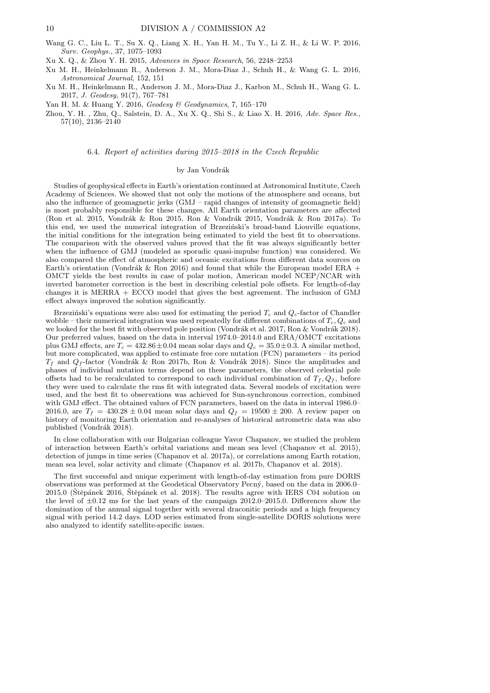- Wang G. C., Liu L. T., Su X. Q., Liang X. H., Yan H. M., Tu Y., Li Z. H., & Li W. P. 2016, Surv. Geophys., 37, 1075–1093
- Xu X. Q., & Zhou Y. H. 2015, Advances in Space Research, 56, 2248–2253
- Xu M. H., Heinkelmann R., Anderson J. M., Mora-Diaz J., Schuh H., & Wang G. L. 2016, Astronomical Journal, 152, 151
- Xu M. H., Heinkelmann R., Anderson J. M., Mora-Diaz J., Karbon M., Schuh H., Wang G. L. 2017, J. Geodesy, 91(7), 767–781
- Yan H. M. & Huang Y. 2016, Geodesy & Geodynamics, 7, 165–170
- Zhou, Y. H. , Zhu, Q., Salstein, D. A., Xu X. Q., Shi S., & Liao X. H. 2016, Adv. Space Res., 57(10), 2136–2140

#### 6.4. Report of activities during 2015–2018 in the Czech Republic

### by Jan Vondrák

Studies of geophysical effects in Earth's orientation continued at Astronomical Institute, Czech Academy of Sciences. We showed that not only the motions of the atmosphere and oceans, but also the influence of geomagnetic jerks (GMJ – rapid changes of intensity of geomagnetic field) is most probably responsible for these changes. All Earth orientation parameters are affected (Ron et al. 2015, Vondrák & Ron 2015, Ron & Vondrák 2015, Vondrák & Ron 2017a). To this end, we used the numerical integration of Brzeziński's broad-band Liouville equations, the initial conditions for the integration being estimated to yield the best fit to observations. The comparison with the observed values proved that the fit was always significantly better when the influence of GMJ (modeled as sporadic quasi-impulse function) was considered. We also compared the effect of atmospheric and oceanic excitations from different data sources on Earth's orientation (Vondrák & Ron 2016) and found that while the European model ERA + OMCT yields the best results in case of polar motion, American model NCEP/NCAR with inverted barometer correction is the best in describing celestial pole offsets. For length-of-day changes it is MERRA + ECCO model that gives the best agreement. The inclusion of GMJ effect always improved the solution significantly.

Brzeziński's equations were also used for estimating the period  $T_c$  and  $Q_c$ -factor of Chandler wobble – their numerical integration was used repeatedly for different combinations of  $T_c$ ,  $Q_c$  and we looked for the best fit with observed pole position (Vondrák et al. 2017, Ron & Vondrák 2018). Our preferred values, based on the data in interval 1974.0–2014.0 and ERA/OMCT excitations plus GMJ effects, are  $T_c = 432.86 \pm 0.04$  mean solar days and  $Q_c = 35.0 \pm 0.3$ . A similar method, but more complicated, was applied to estimate free core nutation (FCN) parameters – its period  $T_f$  and  $Q_f$ -factor (Vondrák & Ron 2017b, Ron & Vondrák 2018). Since the amplitudes and phases of individual nutation terms depend on these parameters, the observed celestial pole offsets had to be recalculated to correspond to each individual combination of  $T_f, Q_f$ , before they were used to calculate the rms fit with integrated data. Several models of excitation were used, and the best fit to observations was achieved for Sun-synchronous correction, combined with GMJ effect. The obtained values of FCN parameters, based on the data in interval 1986.0– 2016.0, are  $T_f = 430.28 \pm 0.04$  mean solar days and  $Q_f = 19500 \pm 200$ . A review paper on history of monitoring Earth orientation and re-analyses of historical astrometric data was also published (Vondrák 2018).

In close collaboration with our Bulgarian colleague Yavor Chapanov, we studied the problem of interaction between Earth's orbital variations and mean sea level (Chapanov et al. 2015), detection of jumps in time series (Chapanov et al. 2017a), or correlations among Earth rotation, mean sea level, solar activity and climate (Chapanov et al. 2017b, Chapanov et al. 2018).

The first successful and unique experiment with length-of-day estimation from pure DORIS observations was performed at the Geodetical Observatory Pecn´y, based on the data in 2006.0–  $2015.0$  (Stěpánek  $2016$ , Štěpánek et al. 2018). The results agree with IERS C04 solution on the level of  $\pm 0.12$  ms for the last years of the campaign 2012.0–2015.0. Differences show the domination of the annual signal together with several draconitic periods and a high frequency signal with period 14.2 days. LOD series estimated from single-satellite DORIS solutions were also analyzed to identify satellite-specific issues.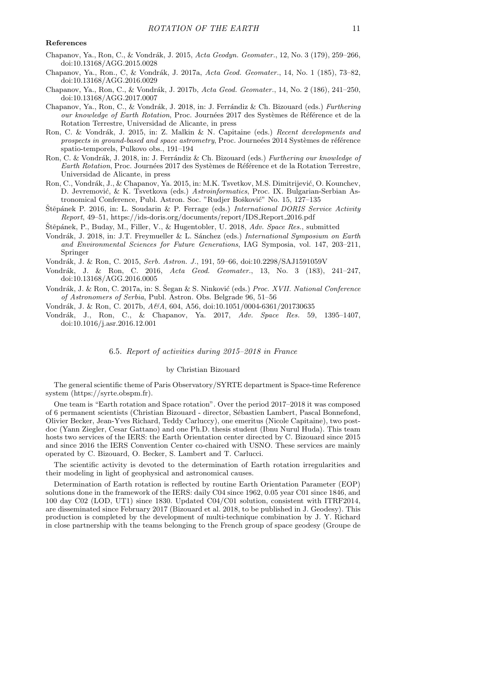## References

- Chapanov, Ya., Ron, C., & Vondrák, J. 2015, Acta Geodyn. Geomater., 12, No. 3 (179), 259–266, doi:10.13168/AGG.2015.0028
- Chapanov, Ya., Ron., C, & Vondrák, J. 2017a, Acta Geod. Geomater., 14, No. 1 (185), 73–82, doi:10.13168/AGG.2016.0029
- Chapanov, Ya., Ron, C., & Vondrák, J. 2017b, Acta Geod. Geomater., 14, No. 2 (186), 241–250, doi:10.13168/AGG.2017.0007
- Chapanov, Ya., Ron, C., & Vondrák, J. 2018, in: J. Ferrándiz & Ch. Bizouard (eds.) Furthering our knowledge of Earth Rotation, Proc. Journées 2017 des Systèmes de Référence et de la Rotation Terrestre, Universidad de Alicante, in press
- Ron, C. & Vondrák, J. 2015, in: Z. Malkin & N. Capitaine (eds.) Recent developments and prospects in ground-based and space astrometry, Proc. Journeées 2014 Systèmes de référence spatio-temporels, Pulkovo obs., 191–194
- Ron, C. & Vondrák, J. 2018, in: J. Ferrándiz & Ch. Bizouard (eds.) Furthering our knowledge of Earth Rotation, Proc. Journées 2017 des Systèmes de Référence et de la Rotation Terrestre, Universidad de Alicante, in press
- Ron, C., Vondrák, J., & Chapanov, Ya. 2015, in: M.K. Tsvetkov, M.S. Dimitrijević, O. Kounchev, D. Jevremović, & K. Tsvetkova (eds.) Astroinformatics, Proc. IX. Bulgarian-Serbian Astronomical Conference, Publ. Astron. Soc. "Rudjer Bošković" No. 15, 127-135
- Štěpánek P. 2016, in: L. Soudarin & P. Ferrage (eds.) International DORIS Service Activity Report, 49–51, https://ids-doris.org/documents/report/IDS Report 2016.pdf
- Štěpánek, P., Buday, M., Filler, V., & Hugentobler, U. 2018, Adv. Space Res., submitted
- Vondrák, J. 2018, in: J.T. Freymueller & L. Sánchez (eds.) International Symposium on Earth and Environmental Sciences for Future Generations, IAG Symposia, vol. 147, 203–211, Springer

Vondr´ak, J. & Ron, C. 2015, Serb. Astron. J., 191, 59–66, doi:10.2298/SAJ1591059V

- Vondrák, J. & Ron, C. 2016, Acta Geod. Geomater., 13, No. 3 (183), 241-247, doi:10.13168/AGG.2016.0005
- Vondrák, J. & Ron, C. 2017a, in: S. Šegan & S. Ninković (eds.) *Proc. XVII. National Conference* of Astronomers of Serbia, Publ. Astron. Obs. Belgrade 96, 51–56
- Vondr´ak, J. & Ron, C. 2017b, A&A, 604, A56, doi:10.1051/0004-6361/201730635
- Vondr´ak, J., Ron, C., & Chapanov, Ya. 2017, Adv. Space Res. 59, 1395–1407, doi:10.1016/j.asr.2016.12.001

### 6.5. Report of activities during 2015–2018 in France

### by Christian Bizouard

The general scientific theme of Paris Observatory/SYRTE department is Space-time Reference system (https://syrte.obspm.fr).

One team is "Earth rotation and Space rotation". Over the period 2017–2018 it was composed of 6 permanent scientists (Christian Bizouard - director, Sébastien Lambert, Pascal Bonnefond, Olivier Becker, Jean-Yves Richard, Teddy Carluccy), one emeritus (Nicole Capitaine), two postdoc (Yann Ziegler, Cesar Gattano) and one Ph.D. thesis student (Ibnu Nurul Huda). This team hosts two services of the IERS: the Earth Orientation center directed by C. Bizouard since 2015 and since 2016 the IERS Convention Center co-chaired with USNO. These services are mainly operated by C. Bizouard, O. Becker, S. Lambert and T. Carlucci.

The scientific activity is devoted to the determination of Earth rotation irregularities and their modeling in light of geophysical and astronomical causes.

Determination of Earth rotation is reflected by routine Earth Orientation Parameter (EOP) solutions done in the framework of the IERS: daily C04 since 1962, 0.05 year C01 since 1846, and 100 day C02 (LOD, UT1) since 1830. Updated C04/C01 solution, consistent with ITRF2014, are disseminated since February 2017 (Bizouard et al. 2018, to be published in J. Geodesy). This production is completed by the development of multi-technique combination by J. Y. Richard in close partnership with the teams belonging to the French group of space geodesy (Groupe de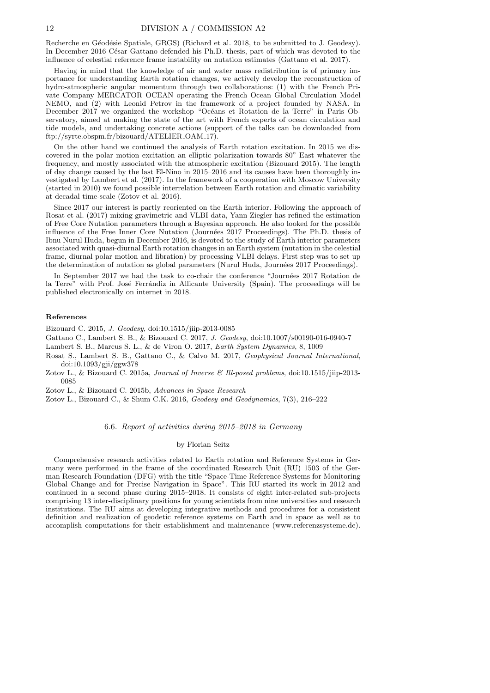Recherche en Géodésie Spatiale, GRGS) (Richard et al. 2018, to be submitted to J. Geodesy). In December 2016 César Gattano defended his Ph.D. thesis, part of which was devoted to the influence of celestial reference frame instability on nutation estimates (Gattano et al. 2017).

Having in mind that the knowledge of air and water mass redistribution is of primary importance for understanding Earth rotation changes, we actively develop the reconstruction of hydro-atmospheric angular momentum through two collaborations: (1) with the French Private Company MERCATOR OCEAN operating the French Ocean Global Circulation Model NEMO, and (2) with Leonid Petrov in the framework of a project founded by NASA. In December 2017 we organized the workshop "Océans et Rotation de la Terre" in Paris Observatory, aimed at making the state of the art with French experts of ocean circulation and tide models, and undertaking concrete actions (support of the talks can be downloaded from ftp://syrte.obspm.fr/bizouard/ATELIER OAM 17).

On the other hand we continued the analysis of Earth rotation excitation. In 2015 we discovered in the polar motion excitation an elliptic polarization towards 80◦ East whatever the frequency, and mostly associated with the atmospheric excitation (Bizouard 2015). The length of day change caused by the last El-Nino in 2015–2016 and its causes have been thoroughly investigated by Lambert et al. (2017). In the framework of a cooperation with Moscow University (started in 2010) we found possible interrelation between Earth rotation and climatic variability at decadal time-scale (Zotov et al. 2016).

Since 2017 our interest is partly reoriented on the Earth interior. Following the approach of Rosat et al. (2017) mixing gravimetric and VLBI data, Yann Ziegler has refined the estimation of Free Core Nutation parameters through a Bayesian approach. He also looked for the possible influence of the Free Inner Core Nutation (Journ´ees 2017 Proceedings). The Ph.D. thesis of Ibnu Nurul Huda, begun in December 2016, is devoted to the study of Earth interior parameters associated with quasi-diurnal Earth rotation changes in an Earth system (nutation in the celestial frame, diurnal polar motion and libration) by processing VLBI delays. First step was to set up the determination of nutation as global parameters (Nurul Huda, Journées 2017 Proceedings).

In September 2017 we had the task to co-chair the conference "Journées 2017 Rotation de la Terre" with Prof. José Ferrándiz in Allicante University (Spain). The proceedings will be published electronically on internet in 2018.

#### References

Bizouard C. 2015, J. Geodesy, doi:10.1515/jiip-2013-0085

Gattano C., Lambert S. B., & Bizouard C. 2017, J. Geodesy, doi:10.1007/s00190-016-0940-7

Lambert S. B., Marcus S. L., & de Viron O. 2017, Earth System Dynamics, 8, 1009

Rosat S., Lambert S. B., Gattano C., & Calvo M. 2017, Geophysical Journal International, doi:10.1093/gji/ggw378

Zotov L., & Bizouard C. 2015a, Journal of Inverse & Ill-posed problems, doi:10.1515/jiip-2013-0085

Zotov L., & Bizouard C. 2015b, Advances in Space Research

Zotov L., Bizouard C., & Shum C.K. 2016, Geodesy and Geodynamics, 7(3), 216–222

## 6.6. Report of activities during 2015–2018 in Germany

#### by Florian Seitz

Comprehensive research activities related to Earth rotation and Reference Systems in Germany were performed in the frame of the coordinated Research Unit (RU) 1503 of the German Research Foundation (DFG) with the title "Space-Time Reference Systems for Monitoring Global Change and for Precise Navigation in Space". This RU started its work in 2012 and continued in a second phase during 2015–2018. It consists of eight inter-related sub-projects comprising 13 inter-disciplinary positions for young scientists from nine universities and research institutions. The RU aims at developing integrative methods and procedures for a consistent definition and realization of geodetic reference systems on Earth and in space as well as to accomplish computations for their establishment and maintenance (www.referenzsysteme.de).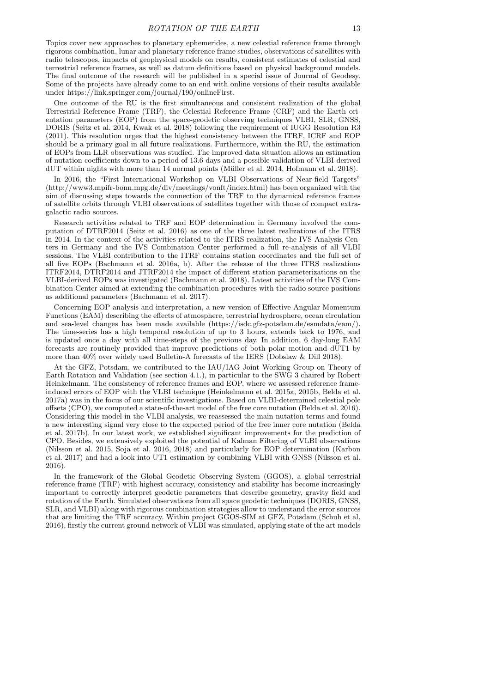Topics cover new approaches to planetary ephemerides, a new celestial reference frame through rigorous combination, lunar and planetary reference frame studies, observations of satellites with radio telescopes, impacts of geophysical models on results, consistent estimates of celestial and terrestrial reference frames, as well as datum definitions based on physical background models. The final outcome of the research will be published in a special issue of Journal of Geodesy. Some of the projects have already come to an end with online versions of their results available under https://link.springer.com/journal/190/onlineFirst.

One outcome of the RU is the first simultaneous and consistent realization of the global Terrestrial Reference Frame (TRF), the Celestial Reference Frame (CRF) and the Earth orientation parameters (EOP) from the space-geodetic observing techniques VLBI, SLR, GNSS, DORIS (Seitz et al. 2014, Kwak et al. 2018) following the requirement of IUGG Resolution R3 (2011). This resolution urges that the highest consistency between the ITRF, ICRF and EOP should be a primary goal in all future realizations. Furthermore, within the RU, the estimation of EOPs from LLR observations was studied. The improved data situation allows an estimation of nutation coefficients down to a period of 13.6 days and a possible validation of VLBI-derived dUT within nights with more than 14 normal points (Müller et al. 2014, Hofmann et al. 2018).

In 2016, the "First International Workshop on VLBI Observations of Near-field Targets" (http://www3.mpifr-bonn.mpg.de/div/meetings/vonft/index.html) has been organized with the aim of discussing steps towards the connection of the TRF to the dynamical reference frames of satellite orbits through VLBI observations of satellites together with those of compact extragalactic radio sources.

Research activities related to TRF and EOP determination in Germany involved the computation of DTRF2014 (Seitz et al. 2016) as one of the three latest realizations of the ITRS in 2014. In the context of the activities related to the ITRS realization, the IVS Analysis Centers in Germany and the IVS Combination Center performed a full re-analysis of all VLBI sessions. The VLBI contribution to the ITRF contains station coordinates and the full set of all five EOPs (Bachmann et al. 2016a, b). After the release of the three ITRS realizations ITRF2014, DTRF2014 and JTRF2014 the impact of different station parameterizations on the VLBI-derived EOPs was investigated (Bachmann et al. 2018). Latest activities of the IVS Combination Center aimed at extending the combination procedures with the radio source positions as additional parameters (Bachmann et al. 2017).

Concerning EOP analysis and interpretation, a new version of Effective Angular Momentum Functions (EAM) describing the effects of atmosphere, terrestrial hydrosphere, ocean circulation and sea-level changes has been made available (https://isdc.gfz-potsdam.de/esmdata/eam/). The time-series has a high temporal resolution of up to 3 hours, extends back to 1976, and is updated once a day with all time-steps of the previous day. In addition, 6 day-long EAM forecasts are routinely provided that improve predictions of both polar motion and dUT1 by more than 40% over widely used Bulletin-A forecasts of the IERS (Dobslaw & Dill 2018).

At the GFZ, Potsdam, we contributed to the IAU/IAG Joint Working Group on Theory of Earth Rotation and Validation (see section 4.1.), in particular to the SWG 3 chaired by Robert Heinkelmann. The consistency of reference frames and EOP, where we assessed reference frameinduced errors of EOP with the VLBI technique (Heinkelmann et al. 2015a, 2015b, Belda et al. 2017a) was in the focus of our scientific investigations. Based on VLBI-determined celestial pole offsets (CPO), we computed a state-of-the-art model of the free core nutation (Belda et al. 2016). Considering this model in the VLBI analysis, we reassessed the main nutation terms and found a new interesting signal very close to the expected period of the free inner core nutation (Belda et al. 2017b). In our latest work, we established significant improvements for the prediction of CPO. Besides, we extensively exploited the potential of Kalman Filtering of VLBI observations (Nilsson et al. 2015, Soja et al. 2016, 2018) and particularly for EOP determination (Karbon et al. 2017) and had a look into UT1 estimation by combining VLBI with GNSS (Nilsson et al. 2016).

In the framework of the Global Geodetic Observing System (GGOS), a global terrestrial reference frame (TRF) with highest accuracy, consistency and stability has become increasingly important to correctly interpret geodetic parameters that describe geometry, gravity field and rotation of the Earth. Simulated observations from all space geodetic techniques (DORIS, GNSS, SLR, and VLBI) along with rigorous combination strategies allow to understand the error sources that are limiting the TRF accuracy. Within project GGOS-SIM at GFZ, Potsdam (Schuh et al. 2016), firstly the current ground network of VLBI was simulated, applying state of the art models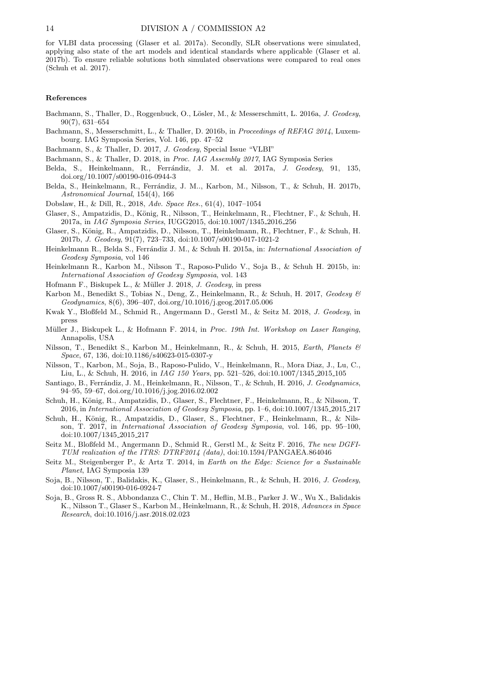for VLBI data processing (Glaser et al. 2017a). Secondly, SLR observations were simulated, applying also state of the art models and identical standards where applicable (Glaser et al. 2017b). To ensure reliable solutions both simulated observations were compared to real ones (Schuh et al. 2017).

#### References

- Bachmann, S., Thaller, D., Roggenbuck, O., Lösler, M., & Messerschmitt, L. 2016a, J. Geodesy, 90(7), 631–654
- Bachmann, S., Messerschmitt, L., & Thaller, D. 2016b, in Proceedings of REFAG 2014, Luxembourg. IAG Symposia Series, Vol. 146, pp. 47–52
- Bachmann, S., & Thaller, D. 2017, J. Geodesy, Special Issue "VLBI"
- Bachmann, S., & Thaller, D. 2018, in Proc. IAG Assembly 2017, IAG Symposia Series
- Belda, S., Heinkelmann, R., Ferrándiz, J. M. et al. 2017a, J. Geodesy, 91, 135, doi.org/10.1007/s00190-016-0944-3
- Belda, S., Heinkelmann, R., Ferrándiz, J. M.., Karbon, M., Nilsson, T., & Schuh, H. 2017b, Astronomical Journal, 154(4), 166
- Dobslaw, H., & Dill, R., 2018, Adv. Space Res., 61(4), 1047–1054
- Glaser, S., Ampatzidis, D., König, R., Nilsson, T., Heinkelmann, R., Flechtner, F., & Schuh, H. 2017a, in IAG Symposia Series, IUGG2015, doi:10.1007/1345 2016 256
- Glaser, S., König, R., Ampatzidis, D., Nilsson, T., Heinkelmann, R., Flechtner, F., & Schuh, H. 2017b, J. Geodesy, 91(7), 723–733, doi:10.1007/s00190-017-1021-2
- Heinkelmann R., Belda S., Ferrándiz J. M., & Schuh H. 2015a, in: International Association of Geodesy Symposia, vol 146
- Heinkelmann R., Karbon M., Nilsson T., Raposo-Pulido V., Soja B., & Schuh H. 2015b, in: International Association of Geodesy Symposia, vol. 143
- Hofmann F., Biskupek L., & Müller J. 2018, *J. Geodesy*, in press
- Karbon M., Benedikt S., Tobias N., Deng, Z., Heinkelmann, R., & Schuh, H. 2017, Geodesy & Geodynamics, 8(6), 396–407, doi.org/10.1016/j.geog.2017.05.006
- Kwak Y., Bloßfeld M., Schmid R., Angermann D., Gerstl M., & Seitz M. 2018, J. Geodesy, in press
- Müller J., Biskupek L., & Hofmann F. 2014, in Proc. 19th Int. Workshop on Laser Ranging, Annapolis, USA
- Nilsson, T., Benedikt S., Karbon M., Heinkelmann, R., & Schuh, H. 2015, Earth, Planets & Space, 67, 136, doi:10.1186/s40623-015-0307-y
- Nilsson, T., Karbon, M., Soja, B., Raposo-Pulido, V., Heinkelmann, R., Mora Diaz, J., Lu, C., Liu, L., & Schuh, H. 2016, in IAG 150 Years, pp. 521–526, doi:10.1007/1345 2015 105
- Santiago, B., Ferrándiz, J. M., Heinkelmann, R., Nilsson, T., & Schuh, H. 2016, J. Geodynamics, 94–95, 59–67, doi.org/10.1016/j.jog.2016.02.002
- Schuh, H., König, R., Ampatzidis, D., Glaser, S., Flechtner, F., Heinkelmann, R., & Nilsson, T. 2016, in International Association of Geodesy Symposia, pp. 1–6, doi:10.1007/1345 2015 217
- Schuh, H., König, R., Ampatzidis, D., Glaser, S., Flechtner, F., Heinkelmann, R., & Nilsson, T. 2017, in International Association of Geodesy Symposia, vol. 146, pp. 95–100, doi:10.1007/1345 2015 217
- Seitz M., Bloßfeld M., Angermann D., Schmid R., Gerstl M., & Seitz F. 2016, The new DGFI-TUM realization of the ITRS: DTRF2014 (data), doi:10.1594/PANGAEA.864046
- Seitz M., Steigenberger P., & Artz T. 2014, in Earth on the Edge: Science for a Sustainable Planet, IAG Symposia 139
- Soja, B., Nilsson, T., Balidakis, K., Glaser, S., Heinkelmann, R., & Schuh, H. 2016, J. Geodesy, doi:10.1007/s00190-016-0924-7
- Soja, B., Gross R. S., Abbondanza C., Chin T. M., Heflin, M.B., Parker J. W., Wu X., Balidakis K., Nilsson T., Glaser S., Karbon M., Heinkelmann, R., & Schuh, H. 2018, Advances in Space Research, doi:10.1016/j.asr.2018.02.023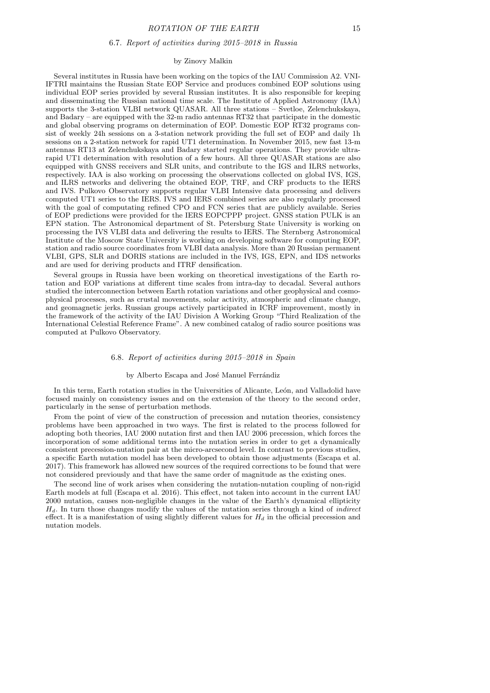#### 6.7. Report of activities during 2015–2018 in Russia

#### by Zinovy Malkin

Several institutes in Russia have been working on the topics of the IAU Commission A2. VNI-IFTRI maintains the Russian State EOP Service and produces combined EOP solutions using individual EOP series provided by several Russian institutes. It is also responsible for keeping and disseminating the Russian national time scale. The Institute of Applied Astronomy (IAA) supports the 3-station VLBI network QUASAR. All three stations – Svetloe, Zelenchukskaya, and Badary – are equipped with the 32-m radio antennas RT32 that participate in the domestic and global observing programs on determination of EOP. Domestic EOP RT32 programs consist of weekly 24h sessions on a 3-station network providing the full set of EOP and daily 1h sessions on a 2-station network for rapid UT1 determination. In November 2015, new fast 13-m antennas RT13 at Zelenchukskaya and Badary started regular operations. They provide ultrarapid UT1 determination with resolution of a few hours. All three QUASAR stations are also equipped with GNSS receivers and SLR units, and contribute to the IGS and ILRS networks, respectively. IAA is also working on processing the observations collected on global IVS, IGS, and ILRS networks and delivering the obtained EOP, TRF, and CRF products to the IERS and IVS. Pulkovo Observatory supports regular VLBI Intensive data processing and delivers computed UT1 series to the IERS. IVS and IERS combined series are also regularly processed with the goal of computating refined CPO and FCN series that are publicly available. Series of EOP predictions were provided for the IERS EOPCPPP project. GNSS station PULK is an EPN station. The Astronomical department of St. Petersburg State University is working on processing the IVS VLBI data and delivering the results to IERS. The Sternberg Astronomical Institute of the Moscow State University is working on developing software for computing EOP, station and radio source coordinates from VLBI data analysis. More than 20 Russian permanent VLBI, GPS, SLR and DORIS stations are included in the IVS, IGS, EPN, and IDS networks and are used for deriving products and ITRF densification.

Several groups in Russia have been working on theoretical investigations of the Earth rotation and EOP variations at different time scales from intra-day to decadal. Several authors studied the interconnection between Earth rotation variations and other geophysical and cosmophysical processes, such as crustal movements, solar activity, atmospheric and climate change, and geomagnetic jerks. Russian groups actively participated in ICRF improvement, mostly in the framework of the activity of the IAU Division A Working Group "Third Realization of the International Celestial Reference Frame". A new combined catalog of radio source positions was computed at Pulkovo Observatory.

## 6.8. Report of activities during 2015–2018 in Spain

#### by Alberto Escapa and José Manuel Ferrándiz

In this term, Earth rotation studies in the Universities of Alicante, León, and Valladolid have focused mainly on consistency issues and on the extension of the theory to the second order, particularly in the sense of perturbation methods.

From the point of view of the construction of precession and nutation theories, consistency problems have been approached in two ways. The first is related to the process followed for adopting both theories, IAU 2000 nutation first and then IAU 2006 precession, which forces the incorporation of some additional terms into the nutation series in order to get a dynamically consistent precession-nutation pair at the micro-arcsecond level. In contrast to previous studies, a specific Earth nutation model has been developed to obtain those adjustments (Escapa et al. 2017). This framework has allowed new sources of the required corrections to be found that were not considered previously and that have the same order of magnitude as the existing ones.

The second line of work arises when considering the nutation-nutation coupling of non-rigid Earth models at full (Escapa et al. 2016). This effect, not taken into account in the current IAU 2000 nutation, causes non-negligible changes in the value of the Earth's dynamical ellipticity  $H_d$ . In turn those changes modify the values of the nutation series through a kind of *indirect* effect. It is a manifestation of using slightly different values for  $H_d$  in the official precession and nutation models.